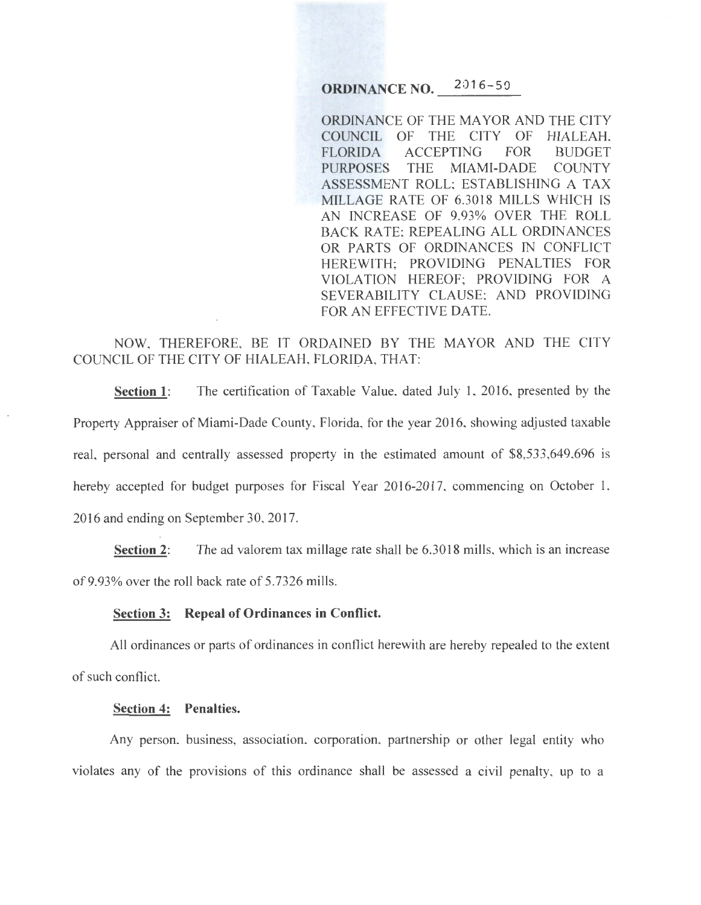# **ORDINANCE NO. 2016-50**

ORDINANCE OF THE MAYOR AND THE CITY COUNCIL OF THE CITY OF HIALEAH, FLORIDA ACCEPTING FOR BUDGET PURPOSES THE MIAMI-DADE COUNTY ASSESSMENT ROLL; ESTABLISHING A TAX MILLAGE RATE OF 6.3018 MILLS WHICH IS AN INCREASE OF 9.93% OVER THE ROLL BACK RATE; REPEALING ALL ORDINANCES OR PARTS OF ORDINANCES IN CONFLICT HEREWITH; PROVIDING PENALTIES FOR VIOLATION HEREOF; PROVIDING FOR A SEVERABILITY CLAUSE; AND PROVIDING FOR AN EFFECTIVE DATE.

## NOW, THEREFORE, BE IT ORDAINED BY THE MAYOR AND THE CITY COUNCIL OF THE CITY OF HIALEAH, FLORIDA, THAT:

**Section 1:** The certification of Taxable Value, dated July 1, 2016, presented by the Property Appraiser of Miami-Dade County, Florida, for the year 2016, showing adjusted taxable real, personal and centrally assessed property in the estimated amount of \$8,533,649,696 is hereby accepted for budget purposes for Fiscal Year 2016-2017, commencing on October 1, 2016 and ending on September 30, 2017.

**Section 2:** The ad valorem tax millage rate shall be 6.3018 mills, which is an increase of9.93% over the roll back rate of 5.7326 mills.

#### **Section 3: Repeal of Ordinances in Conflict.**

All ordinances or parts of ordinances in conflict herewith are hereby repealed to the extent of such conflict.

#### **Section 4: Penalties.**

Any person, business, association, corporation, partnership or other legal entity who violates any of the provisions of this ordinance shall be assessed a civil penalty, up to a